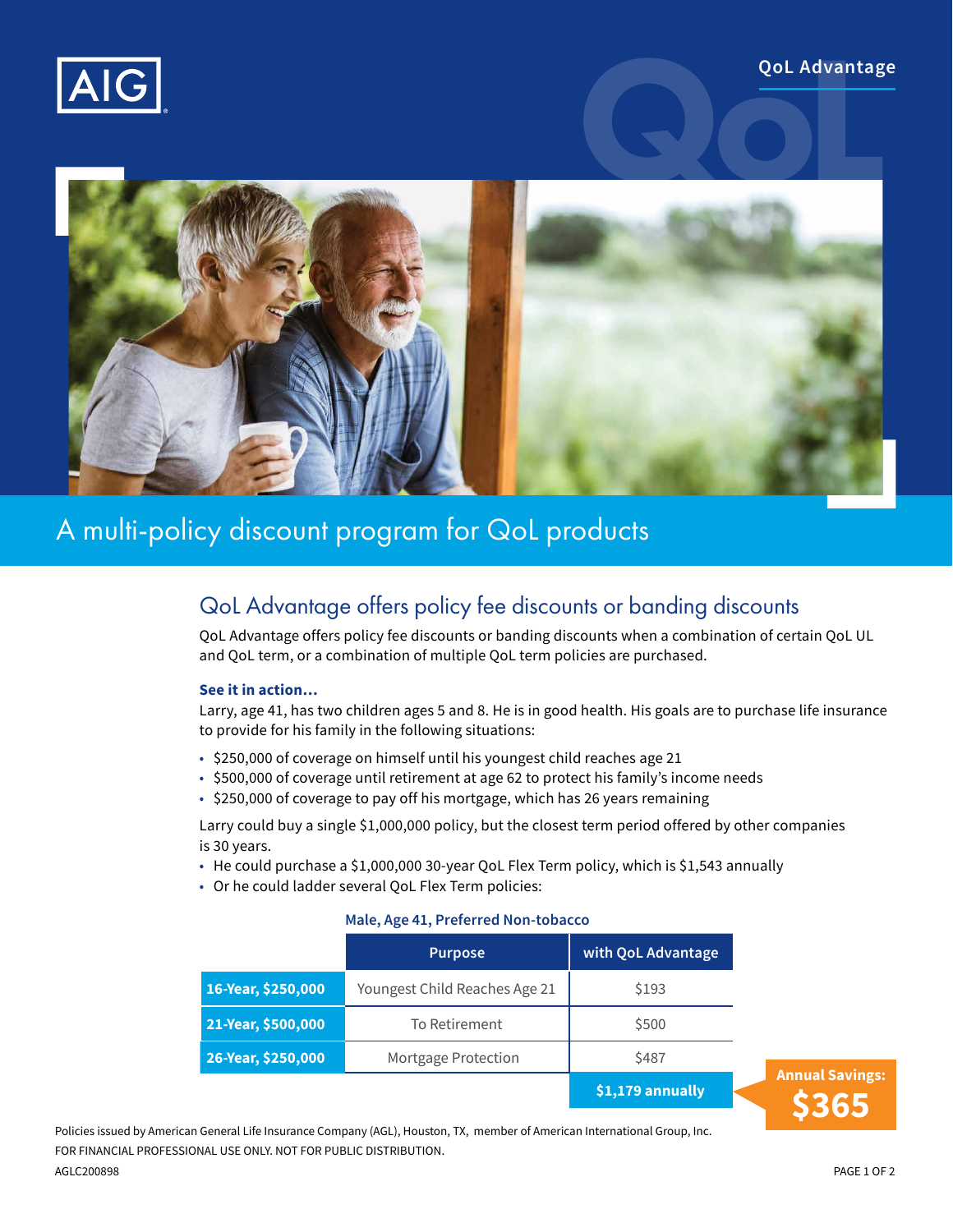



# A multi-policy discount program for QoL products

## QoL Advantage offers policy fee discounts or banding discounts

QoL Advantage offers policy fee discounts or banding discounts when a combination of certain QoL UL and QoL term, or a combination of multiple QoL term policies are purchased.

#### **See it in action…**

Larry, age 41, has two children ages 5 and 8. He is in good health. His goals are to purchase life insurance to provide for his family in the following situations:

- \$250,000 of coverage on himself until his youngest child reaches age 21
- \$500,000 of coverage until retirement at age 62 to protect his family's income needs
- \$250,000 of coverage to pay off his mortgage, which has 26 years remaining

Larry could buy a single \$1,000,000 policy, but the closest term period offered by other companies is 30 years.

- He could purchase a \$1,000,000 30-year QoL Flex Term policy, which is \$1,543 annually
- Or he could ladder several QoL Flex Term policies:

#### **Male, Age 41, Preferred Non-tobacco**

|                    | <b>Purpose</b>                | with QoL Advantage |  |
|--------------------|-------------------------------|--------------------|--|
| 16-Year, \$250,000 | Youngest Child Reaches Age 21 | \$193              |  |
| 21-Year, \$500,000 | To Retirement                 | \$500              |  |
| 26-Year, \$250,000 | Mortgage Protection           | \$487              |  |
|                    |                               | \$1,179 annually   |  |
|                    |                               |                    |  |

Policies issued by American General Life Insurance Company (AGL), Houston, TX, member of American International Group, Inc. FOR FINANCIAL PROFESSIONAL USE ONLY. NOT FOR PUBLIC DISTRIBUTION.